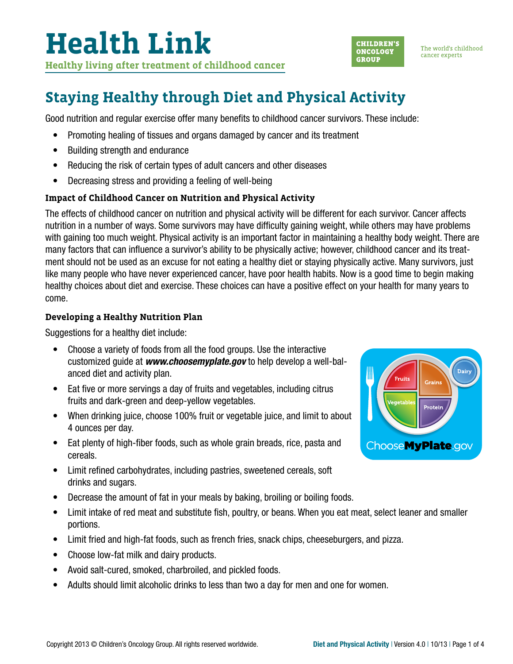# **Health Link**

**Healthy living after treatment of childhood cancer**



The world's childhood cancer experts

### **Staying Healthy through Diet and Physical Activity**

Good nutrition and regular exercise offer many benefits to childhood cancer survivors. These include:

- Promoting healing of tissues and organs damaged by cancer and its treatment
- Building strength and endurance
- Reducing the risk of certain types of adult cancers and other diseases
- Decreasing stress and providing a feeling of well-being

### **Impact of Childhood Cancer on Nutrition and Physical Activity**

The effects of childhood cancer on nutrition and physical activity will be different for each survivor. Cancer affects nutrition in a number of ways. Some survivors may have difficulty gaining weight, while others may have problems with gaining too much weight. Physical activity is an important factor in maintaining a healthy body weight. There are many factors that can influence a survivor's ability to be physically active; however, childhood cancer and its treatment should not be used as an excuse for not eating a healthy diet or staying physically active. Many survivors, just like many people who have never experienced cancer, have poor health habits. Now is a good time to begin making healthy choices about diet and exercise. These choices can have a positive effect on your health for many years to come.

#### **Developing a Healthy Nutrition Plan**

Suggestions for a healthy diet include:

- Choose a variety of foods from all the food groups. Use the interactive customized guide at *[www.choosemyplate.gov](http://www.choosemyplate.gov)* to help develop a well-balanced diet and activity plan.
- Eat five or more servings a day of fruits and vegetables, including citrus fruits and dark-green and deep-yellow vegetables.
- When drinking juice, choose 100% fruit or vegetable juice, and limit to about 4 ounces per day.
- Eat plenty of high-fiber foods, such as whole grain breads, rice, pasta and cereals.
- Limit refined carbohydrates, including pastries, sweetened cereals, soft drinks and sugars.
- Decrease the amount of fat in your meals by baking, broiling or boiling foods.
- Limit intake of red meat and substitute fish, poultry, or beans. When you eat meat, select leaner and smaller portions.
- Limit fried and high-fat foods, such as french fries, snack chips, cheeseburgers, and pizza.
- Choose low-fat milk and dairy products.
- Avoid salt-cured, smoked, charbroiled, and pickled foods.
- Adults should limit alcoholic drinks to less than two a day for men and one for women.

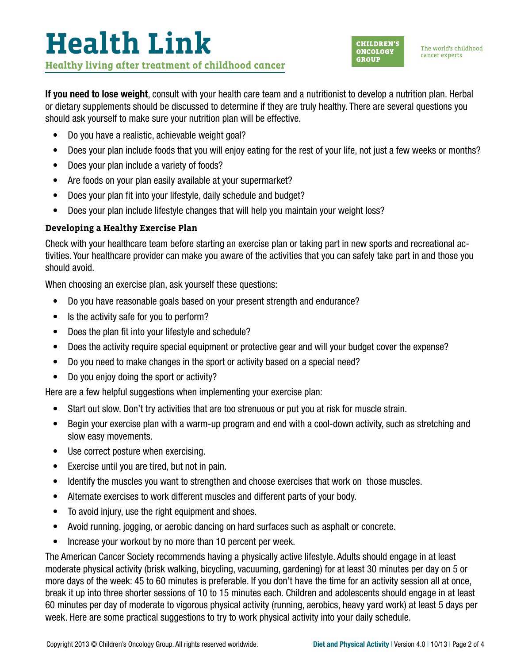## **Health Link Healthy living after treatment of childhood cancer**



The world's childhood cancer experts

If you need to lose weight, consult with your health care team and a nutritionist to develop a nutrition plan. Herbal or dietary supplements should be discussed to determine if they are truly healthy. There are several questions you should ask yourself to make sure your nutrition plan will be effective.

- Do you have a realistic, achievable weight goal?
- Does your plan include foods that you will enjoy eating for the rest of your life, not just a few weeks or months?
- Does your plan include a variety of foods?
- Are foods on your plan easily available at your supermarket?
- Does your plan fit into your lifestyle, daily schedule and budget?
- Does your plan include lifestyle changes that will help you maintain your weight loss?

#### **Developing a Healthy Exercise Plan**

Check with your healthcare team before starting an exercise plan or taking part in new sports and recreational activities. Your healthcare provider can make you aware of the activities that you can safely take part in and those you should avoid.

When choosing an exercise plan, ask yourself these questions:

- Do you have reasonable goals based on your present strength and endurance?
- Is the activity safe for you to perform?
- Does the plan fit into your lifestyle and schedule?
- Does the activity require special equipment or protective gear and will your budget cover the expense?
- Do you need to make changes in the sport or activity based on a special need?
- Do you enjoy doing the sport or activity?

Here are a few helpful suggestions when implementing your exercise plan:

- Start out slow. Don't try activities that are too strenuous or put you at risk for muscle strain.
- Begin your exercise plan with a warm-up program and end with a cool-down activity, such as stretching and slow easy movements.
- Use correct posture when exercising.
- Exercise until you are tired, but not in pain.
- Identify the muscles you want to strengthen and choose exercises that work on those muscles.
- Alternate exercises to work different muscles and different parts of your body.
- To avoid injury, use the right equipment and shoes.
- Avoid running, jogging, or aerobic dancing on hard surfaces such as asphalt or concrete.
- Increase your workout by no more than 10 percent per week.

The American Cancer Society recommends having a physically active lifestyle. Adults should engage in at least moderate physical activity (brisk walking, bicycling, vacuuming, gardening) for at least 30 minutes per day on 5 or more days of the week: 45 to 60 minutes is preferable. If you don't have the time for an activity session all at once, break it up into three shorter sessions of 10 to 15 minutes each. Children and adolescents should engage in at least 60 minutes per day of moderate to vigorous physical activity (running, aerobics, heavy yard work) at least 5 days per week. Here are some practical suggestions to try to work physical activity into your daily schedule.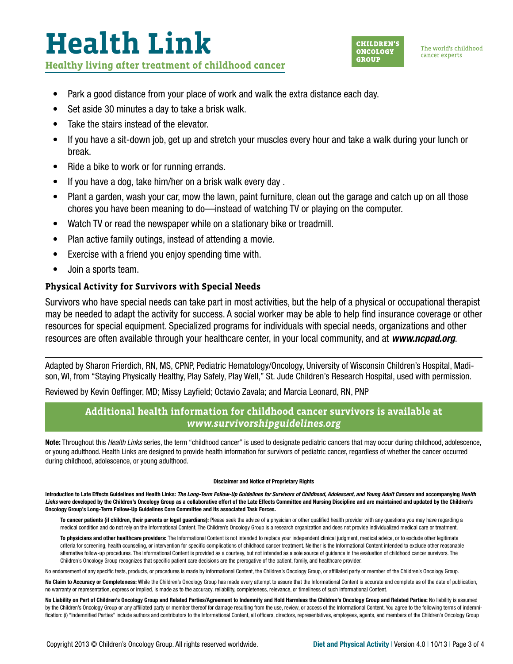### **Health Link Healthy living after treatment of childhood cancer**



The world's childhood cancer experts

- Park a good distance from your place of work and walk the extra distance each day.
- Set aside 30 minutes a day to take a brisk walk.
- Take the stairs instead of the elevator.
- If you have a sit-down job, get up and stretch your muscles every hour and take a walk during your lunch or break.
- Ride a bike to work or for running errands.
- If you have a dog, take him/her on a brisk walk every day .
- Plant a garden, wash your car, mow the lawn, paint furniture, clean out the garage and catch up on all those chores you have been meaning to do—instead of watching TV or playing on the computer.
- Watch TV or read the newspaper while on a stationary bike or treadmill.
- Plan active family outings, instead of attending a movie.
- Exercise with a friend you enjoy spending time with.
- Join a sports team.

#### **Physical Activity for Survivors with Special Needs**

Survivors who have special needs can take part in most activities, but the help of a physical or occupational therapist may be needed to adapt the activity for success. A social worker may be able to help find insurance coverage or other resources for special equipment. Specialized programs for individuals with special needs, organizations and other resources are often available through your healthcare center, in your local community, and at *[www.ncpad.org](http://www.ncpad.org)*.

Adapted by Sharon Frierdich, RN, MS, CPNP, Pediatric Hematology/Oncology, University of Wisconsin Children's Hospital, Madison, WI, from "Staying Physically Healthy, Play Safely, Play Well," St. Jude Children's Research Hospital, used with permission.

Reviewed by Kevin Oeffinger, MD; Missy Layfield; Octavio Zavala; and Marcia Leonard, RN, PNP

### **Additional health information for childhood cancer survivors is available at**  *[www.survivorshipguidelines.org](http://www.survivorshipguidelines.org)*

Note: Throughout this *Health Links* series, the term "childhood cancer" is used to designate pediatric cancers that may occur during childhood, adolescence, or young adulthood. Health Links are designed to provide health information for survivors of pediatric cancer, regardless of whether the cancer occurred during childhood, adolescence, or young adulthood.

#### Disclaimer and Notice of Proprietary Rights

Introduction to Late Effects Guidelines and Health Links: *The Long-Term Follow-Up Guidelines for Survivors of Childhood, Adolescent, and Young Adult Cancers* and accompanying *Health*  Links were developed by the Children's Oncology Group as a collaborative effort of the Late Effects Committee and Nursing Discipline and are maintained and updated by the Children's Oncology Group's Long-Term Follow-Up Guidelines Core Committee and its associated Task Forces.

To cancer patients (if children, their parents or legal guardians): Please seek the advice of a physician or other qualified health provider with any questions you may have regarding a medical condition and do not rely on the Informational Content. The Children's Oncology Group is a research organization and does not provide individualized medical care or treatment.

To physicians and other healthcare providers: The Informational Content is not intended to replace your independent clinical judgment, medical advice, or to exclude other legitimate criteria for screening, health counseling, or intervention for specific complications of childhood cancer treatment. Neither is the Informational Content intended to exclude other reasonable alternative follow-up procedures. The Informational Content is provided as a courtesy, but not intended as a sole source of guidance in the evaluation of childhood cancer survivors. The Children's Oncology Group recognizes that specific patient care decisions are the prerogative of the patient, family, and healthcare provider.

No endorsement of any specific tests, products, or procedures is made by Informational Content, the Children's Oncology Group, or affiliated party or member of the Children's Oncology Group.

No Claim to Accuracy or Completeness: While the Children's Oncology Group has made every attempt to assure that the Informational Content is accurate and complete as of the date of publication, no warranty or representation, express or implied, is made as to the accuracy, reliability, completeness, relevance, or timeliness of such Informational Content.

No Liability on Part of Children's Oncology Group and Related Parties/Agreement to Indemnify and Hold Harmless the Children's Oncology Group and Related Parties: No liability is assumed by the Children's Oncology Group or any affiliated party or member thereof for damage resulting from the use, review, or access of the Informational Content. You agree to the following terms of indemnification: (i) "Indemnified Parties" include authors and contributors to the Informational Content, all officers, directors, representatives, employees, agents, and members of the Children's Oncology Group